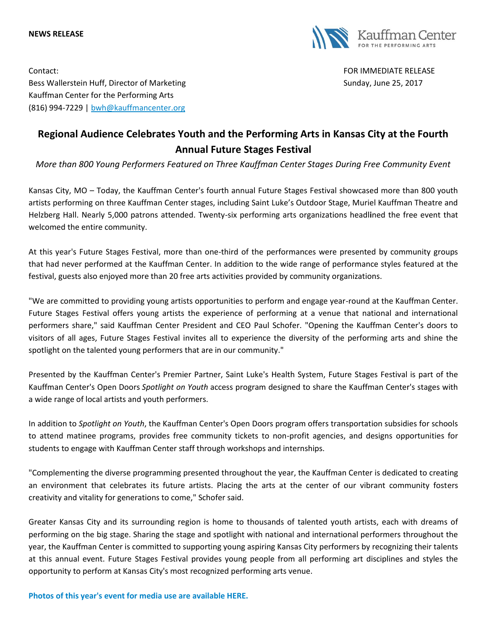#### **NEWS RELEASE**



Contact: FOR IMMEDIATE RELEASE Bess Wallerstein Huff, Director of Marketing Sunday, June 25, 2017 Kauffman Center for the Performing Arts (816) 994-7229 | [bwh@kauffmancenter.org](mailto:bwh@kauffmancenter.org)

# **Regional Audience Celebrates Youth and the Performing Arts in Kansas City at the Fourth Annual Future Stages Festival**

*More than 800 Young Performers Featured on Three Kauffman Center Stages During Free Community Event*

Kansas City, MO – Today, the Kauffman Center's fourth annual Future Stages Festival showcased more than 800 youth artists performing on three Kauffman Center stages, including Saint Luke's Outdoor Stage, Muriel Kauffman Theatre and Helzberg Hall. Nearly 5,000 patrons attended. Twenty-six performing arts organizations headl**i**ned the free event that welcomed the entire community.

At this year's Future Stages Festival, more than one-third of the performances were presented by community groups that had never performed at the Kauffman Center. In addition to the wide range of performance styles featured at the festival, guests also enjoyed more than 20 free arts activities provided by community organizations.

"We are committed to providing young artists opportunities to perform and engage year-round at the Kauffman Center. Future Stages Festival offers young artists the experience of performing at a venue that national and international performers share," said Kauffman Center President and CEO Paul Schofer. "Opening the Kauffman Center's doors to visitors of all ages, Future Stages Festival invites all to experience the diversity of the performing arts and shine the spotlight on the talented young performers that are in our community."

Presented by the Kauffman Center's Premier Partner, Saint Luke's Health System, Future Stages Festival is part of the Kauffman Center's Open Doors *Spotlight on Youth* access program designed to share the Kauffman Center's stages with a wide range of local artists and youth performers.

In addition to *Spotlight on Youth*, the Kauffman Center's Open Doors program offers transportation subsidies for schools to attend matinee programs, provides free community tickets to non-profit agencies, and designs opportunities for students to engage with Kauffman Center staff through workshops and internships.

"Complementing the diverse programming presented throughout the year, the Kauffman Center is dedicated to creating an environment that celebrates its future artists. Placing the arts at the center of our vibrant community fosters creativity and vitality for generations to come," Schofer said.

Greater Kansas City and its surrounding region is home to thousands of talented youth artists, each with dreams of performing on the big stage. Sharing the stage and spotlight with national and international performers throughout the year, the Kauffman Center is committed to supporting young aspiring Kansas City performers by recognizing their talents at this annual event. Future Stages Festival provides young people from all performing art disciplines and styles the opportunity to perform at Kansas City's most recognized performing arts venue.

**[Photos of this year's event for media use are available HERE.](http://tracking.wordfly.com/click?sid=MTc4XzY4NDVfMTMxMTFfNjk1Ng&l=b1b7d773-ff59-e711-bcb0-e61f134a8c87&utm_source=wordfly&utm_medium=email&utm_campaign=FSF2017Post-EventPressRelease&utm_content=version_A&sourceNumber=)**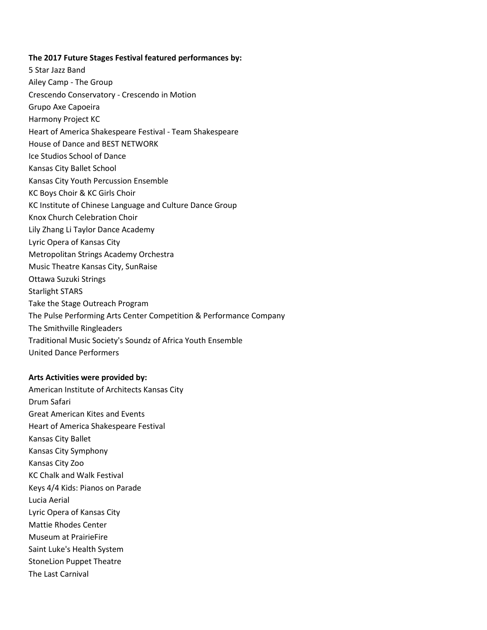### **The 2017 Future Stages Festival featured performances by:**

5 Star Jazz Band Ailey Camp - The Group Crescendo Conservatory - Crescendo in Motion Grupo Axe Capoeira Harmony Project KC Heart of America Shakespeare Festival - Team Shakespeare House of Dance and BEST NETWORK Ice Studios School of Dance Kansas City Ballet School Kansas City Youth Percussion Ensemble KC Boys Choir & KC Girls Choir KC Institute of Chinese Language and Culture Dance Group Knox Church Celebration Choir Lily Zhang Li Taylor Dance Academy Lyric Opera of Kansas City Metropolitan Strings Academy Orchestra Music Theatre Kansas City, SunRaise Ottawa Suzuki Strings Starlight STARS Take the Stage Outreach Program The Pulse Performing Arts Center Competition & Performance Company The Smithville Ringleaders Traditional Music Society's Soundz of Africa Youth Ensemble United Dance Performers

#### **Arts Activities were provided by:**

American Institute of Architects Kansas City Drum Safari Great American Kites and Events Heart of America Shakespeare Festival Kansas City Ballet Kansas City Symphony Kansas City Zoo KC Chalk and Walk Festival Keys 4/4 Kids: Pianos on Parade Lucia Aerial Lyric Opera of Kansas City Mattie Rhodes Center Museum at PrairieFire Saint Luke's Health System StoneLion Puppet Theatre The Last Carnival